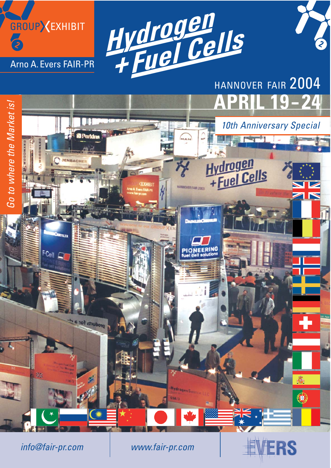



# **APRIL 19**



info@fair-pr.com www.fair-pr.com

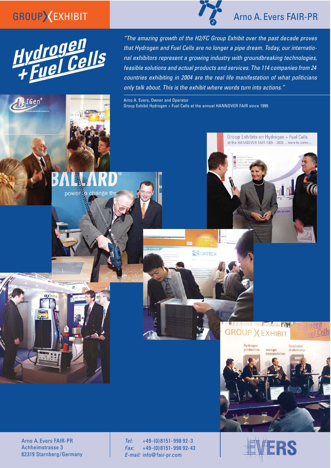# GROUPXEXHIBIT



power to change th

 $IGen^{\circ}$ 

"The amazing growth of the H2/FC Group Exhibit over the past decade proves that Hydrogen and Fuel Cells are no longer a pipe dream. Today, our international exhibitors represent a growing industry with groundbreaking technologies, feasible solutions and actual products and services. The 114 companies from 24 countries exhibiting in 2004 are the real life manifestation of what politicians only talk about. This is the exhibit where words turn into actions."

Arno A. Evers, Owner and Operator Group Exhibit Hydrogen + Fuel Cells at the annual HANNOVER FAIR since 1995

**ENIDATECH** 



Tel: +49-(0)8151-998 92-3 Fax: +49-(0) 8151- 998 92- 43 E-mail: info@ fair-pr.com



**The Common Second Second Second Second** 

storage transportation

**GROUP X EXHIBIT** 

Hydrogen

production

### Arno A. Evers FAIR-PR

Group Exhibits on Hydrogen + Fuel Cells at the HANNOVER FAIR 1995 - 2003 ... more to come.

**Mum** 

ogen

Generation<br>of electricity

rel Cells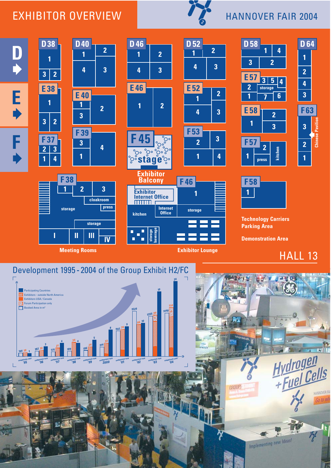#### EXHIBITOR OVERVIEW



### HANNOVER FAIR 2004

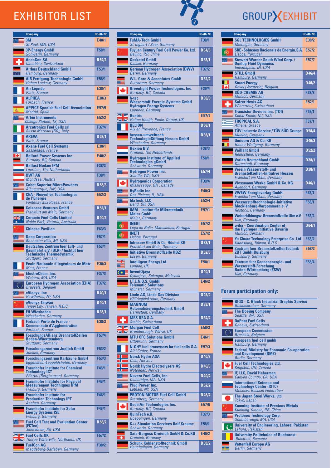# EXHIBITOR LIST

| <b>Company</b>                                                                                              | <b>Booth No</b>    |
|-------------------------------------------------------------------------------------------------------------|--------------------|
| 3M<br>St Paul, MN, USA                                                                                      | E40/1              |
| <b>3P-Energy GmbH</b>                                                                                       | F58/1              |
| Schwerin, Germany<br><b>AccaGen SA</b>                                                                      | D 64/2             |
| Canobbio, Switzerland<br><b>Airbus Deutschland GmbH</b>                                                     | F53/1              |
| Hamburg, Germany<br><b>AIR Fertigung-Technologie GmbH</b>                                                   | F58/1              |
| Hohen Luckow, Germany<br><b>Air Liquide</b>                                                                 | E38/1              |
| Paris, France<br><b>ALPHEA</b>                                                                              | E38/3              |
| Forbach, France<br><b>APPICE Spanish Fuel Cell Association</b>                                              | E57/5              |
| <b>Madrid, Spain</b><br><b>Arbin Instruments</b>                                                            | E52/2              |
| College Station, TX, USA<br><b>Arcotronics Fuel Cells srl</b>                                               | F37/4              |
| Sasso Marconi (BO), Italy<br><b>AREVA</b>                                                                   | D 58/1             |
| Paris, France<br><b>Axane Fuel Cell Systems</b>                                                             | E38/1              |
| Sassenage, France<br><b>Ballard Power Systems Inc.</b>                                                      | E40/2              |
| Burnaby, BC, Canada<br><b>Ballast Nedam IPM</b>                                                             | F38/3              |
| Leerdam, The Netherlands<br><b>BWT AG</b>                                                                   | F38/1              |
| Mondsee, Austria                                                                                            |                    |
| <b>Cabot Superior MicroPowders</b><br>Albuquerque, NM, USA                                                  | D <sub>58</sub> /3 |
| <b>CEA - Nouvelles Technologies</b><br>de l'Energie<br>Fontenay aux Roses, France                           | E52/3              |
| <b>Celanese Ventures GmbH</b><br>Frankfurt am Main, Germany                                                 | D 52/1             |
| <b>Ceramic Fuel Cells Limited</b><br>Noble Park, Victoria, Australia                                        | D 40/2             |
| <b>Chinese Pavilion</b>                                                                                     | F63/3              |
| <b>Dana Corporation</b><br>Rochester Hills, MI, USA                                                         | F57/1              |
| <b>Deutsches Zentrum fuer Luft- und</b><br>Raumfahrt e.V. (DLR) / Institut fuer<br>Technische Thermodynamik | F53/1              |
| Stuttgart, Germany<br>Ecole Nationale d'Ingénieurs de Metz<br>Metz, France                                  | E38/3              |
| <b>ElectroChem, Inc.</b>                                                                                    | F37/3              |
| Woburn, MA, USA<br><b>European Hydrogen Association (EHA)</b>                                               | F37/2              |
| <b>Brussels, Belgium</b><br>eVionyx, Inc                                                                    | D40/1              |
| Hawthorne, NY, USA<br>eVionyx Taiwan                                                                        | D40/1              |
| Taipei City, Taiwan, R.O.C.<br><b>FH Wiesbaden</b>                                                          | D38/1              |
| Wiesbaden, Germany<br><b>Forbach Porte de France -</b>                                                      | E38/3              |
| <b>Communauté d'Agglomération</b><br>Forbach, France                                                        |                    |
| <b>ForschungsAllianz BrennstoffZellen</b><br><b>Baden-Wuerttemberg</b>                                      | F53/4              |
| <b>Stuttgart, Germany</b><br><b>Forschungszentrum Juelich GmbH</b>                                          | F53/2              |
| Juelich, Germany<br><b>Forschungszentrum Karlsruhe GmbH</b>                                                 | F53/3              |
| Eggenstein-Leopoldshafen, Germany<br><b>Fraunhofer Institute for Chemical</b><br><b>Technology ICT</b>      | F46/1              |
| Pfinztal (Berghausen), Germany<br><b>Fraunhofer Institute for Physical</b>                                  | F46/1              |
| <b>Measurement Techniques IPM</b><br>Freiburg, Germany                                                      |                    |
| <b>Fraunhofer Institute for</b><br><b>Production Technology IPT</b><br>Aachen, Germany                      | F46/1              |
| <b>Fraunhofer Institute for Solar</b><br><b>Energy Systems ISE</b><br>Freiburg, Germany                     | F46/1              |
| <b>Fuel Cell Test and Evaluation Center</b><br>(FCTec)<br>Johnstown, PA, USA                                | D 58/2             |
| <b>Fuel Cells UK</b><br>Thorpe Waterville, Northants, UK                                                    | F57/2              |
| <b>FuelCon AG</b><br>Magdeburg-Barleben, Germany                                                            | F38/2              |

|         | <b>FuMA-Tech GmbH</b><br>St. Ingbert / Saar, Germany                                            | F38/1              |
|---------|-------------------------------------------------------------------------------------------------|--------------------|
|         | <b>Fuyuan Century Fuel Cell Power Co. Ltd.</b><br>Beijing, P.R. China                           | D64/3              |
|         | <b>Gaskatel GmbH</b><br>Kassel, Germany                                                         | D38/1              |
|         | <b>German Hydrogen Association (DWV)</b><br><b>Berlin, Germany</b>                              | F37/2              |
|         | <b>W.L. Gore &amp; Associates GmbH</b><br>Putzbrunn, Germany                                    | D <sub>52/4</sub>  |
|         | <b>Greenlight Power Technologies, Inc.</b><br>Burnaby, BC, Canada                               | F39/4              |
|         | h-tec<br>Wasserstoff-Energie-Systeme GmbH<br><b>Hydrogen Energy Systems</b><br>Luebeck, Germany | D38/3              |
| ╹<br>1N | <b>Heatric</b><br>Holton Health, Poole, Dorset, UK                                              | E 57/1             |
|         | <b>HELION</b><br>Aix en Provence, France                                                        | D 58/1             |
|         | hessen-umwelttech<br><b>TechnologieStiftung Hessen GmbH</b><br>Wiesbaden, Germany               | D38/1              |
|         | <b>Hexion B.V.</b><br><b>Arnhem, The Netherlands</b>                                            | F38/3              |
|         | <b>Hydrogen Institute of Applied</b><br><b>Technologies gGmbH</b><br>Schwerin, Germany          | F58/1              |
|         | <b>Hydrogen Power Inc.</b><br>Seattle, WA, USA                                                  | E57/4              |
|         | <b>Hydrogenics Corporation</b><br>Mississauga, ON, Canada                                       | F39/4              |
|         | <b>HyRadix Inc.</b><br>Des Plaines, IL, USA                                                     | E40/3              |
|         | <b>IdaTech, LLC</b><br>Bend, OR, USA                                                            | E52/4              |
|         | <b>IMM - Institut für Mikrotechnik</b><br><b>Mainz GmbH</b><br>Mainz, Germany                   | E57/1              |
|         | <b>INEGI</b><br>Leça do Balio, Matosinhos, Portugal                                             | E57/2              |
|         | <b>INETI</b><br>Lisboa, Portugal                                                                | E57/2              |
|         | <b>Infrasery GmbH &amp; Co. Höchst KG</b><br>Frankfurt am Main, Germany                         | $\overline{D}38/1$ |
|         | <b>Initiative Brennstoffzelle (IBZ)</b><br>Essen, Germany                                       | D <sub>52/3</sub>  |
|         | <b>Intelligent Energy Ltd.</b><br>London, UK                                                    | E58/1              |
| (∎      | <b>InventOjaya</b><br>Cyberjaya, Selangor, Malaysia                                             | D40/1              |
|         | I.T.E.N.O.S. GmbH<br><b>Telematic Solutions</b><br>Münster, Germany                             | E46/2              |
|         | <b>Linde AG, Linde Gas Division</b><br>Höllriegelskreuth, Germany                               | D46/4              |
|         | <b>MAGNUM</b><br><b>Automatisierungstechnik GmbH</b><br>Darmstadt, Germany                      | D38/1              |
|         | <b>MES DEA S.A.</b><br><b>Stabio, Switzerland</b>                                               | D64/4              |
|         | <b>Morgan Fuel Cell</b><br>Bromborough, Wirral, UK                                              | E58/3              |
|         | <b>MTU CFC Solutions GmbH</b><br>Ottobrunn, Germany                                             | E46/1              |
|         | N-GHY fuel processors for fuel cells, S.A.<br>Albi Cedex, France                                | E57/3              |
|         | <b>Norsk Hydro ASA</b><br>Oslo, Norway                                                          | $D$ 40/3           |
|         | <b>Norsk Hydro Electrolysers AS</b><br>Notodden, Norway                                         | $D$ 40/3           |
|         | <b>Nuvera Fuel Cells, Inc.</b><br>Cambridge, MA, USA                                            | D40/4              |
|         | <b>Plug Power Inc.</b><br>Latham, NY, USA                                                       | D <sub>52</sub> /2 |
|         | <b>PROTON MOTOR Fuel Cell GmbH</b><br>Starnberg, Germany                                        | D46/4              |
|         | <b>QuestAir Technologies Inc.</b><br>Burnaby, BC, Canada                                        | E57/6              |
|         | QuinTech e.K.<br>Goeppingen, Germany                                                            | F37/3              |
|         | <b>S++ Simulation Services Ralf Kraume</b><br>Schwerin, Germany                                 | F58/1              |
|         | Saia-Burgess Dreieich GmbH & Co.KG<br>Dreieich, Germany                                         | E46/2              |
|         | <b>Schunk Kohlenstofftechnik GmbH</b><br>Heuchelheim, Germany                                   | D38/2              |

# GROUPXEXHIBIT

| <b>Company</b>                                                                                         | <b>Booth No</b>     | <b>Company</b>                                                                                            | <b>Booth No</b>      |  |
|--------------------------------------------------------------------------------------------------------|---------------------|-----------------------------------------------------------------------------------------------------------|----------------------|--|
| <b>FuMA-Tech GmbH</b><br>St. Ingbert / Saar, Germany                                                   | F38/1               | <b>SGL TECHNOLOGIES GmbH</b><br>Meitingen, Germany                                                        | E38/2                |  |
| <b>Fuyuan Century Fuel Cell Power Co. Ltd.</b><br>Beijing, P.R. China                                  | D64/3               | <b>SRE-Soluções Racionais de Energia, S.A. E57/2</b><br>Lisboa, Portugal                                  |                      |  |
| <b>Gaskatel GmbH</b><br>Kassel, Germany                                                                | D38/1               | <b>Stewart Warner South Wind Corp. /</b><br><b>Dunlop Fluid Dynamics</b>                                  | E57/7                |  |
| <b>German Hydrogen Association (DWV)</b><br><b>Berlin, Germany</b>                                     | F37/2               | Indianapolis, IN, USA<br><b>STILL GmbH</b>                                                                | D46/4                |  |
| <b>W.L. Gore &amp; Associates GmbH</b><br>Putzbrunn, Germany                                           | D <sub>52/4</sub>   | Hamburg, Germany<br><b>Stuart Energy</b>                                                                  | D46/2                |  |
| <b>Greenlight Power Technologies, Inc.</b><br>Burnaby, BC, Canada                                      | F39/4               | ы<br>Oevel (Westerlo), Belgium<br><b>SÜD-CHEMIE AG</b>                                                    | F39/3                |  |
| h-tec<br><b>Wasserstoff-Energie-Systeme GmbH</b><br><b>Hydrogen Energy Systems</b><br>Luebeck, Germany | D38/3               | Munich, Germany<br><b>Sulzer Hexis AG</b><br><b>Winterthur, Switzerland</b>                               | $E$ <sub>52</sub> /1 |  |
| <b>Heatric</b><br>Holton Health, Poole, Dorset, UK                                                     | E57/1               | <b>Transistor Devices Inc. (TDI)</b><br>Cedar Knolls, NJ, USA                                             | F39/1                |  |
| <b>HELION</b>                                                                                          | $D$ 58/1            | <b>TROPICAL S.A.</b><br>Athens, Greece                                                                    | F37/1                |  |
| Aix en Provence, France<br>hessen-umwelttech                                                           | D38/1               | <b>TÜV Industrie Service / TÜV SÜD Gruppe</b><br>Munich, Germany                                          | D <sub>58</sub> /4   |  |
| <b>TechnologieStiftung Hessen GmbH</b><br>Wiesbaden, Germany                                           |                     | <b>Umicore AG &amp; Co. KG</b><br>Hanau-Wolfgang, Germany                                                 | $D$ 46/3             |  |
| <b>Hexion B.V.</b><br><b>Arnhem, The Netherlands</b>                                                   | F38/3               | <b>Vaillant GmbH</b><br>Remscheid, Germany                                                                | D <sub>52</sub> /2   |  |
| <b>Hydrogen Institute of Applied</b><br><b>Technologies gGmbH</b><br>Schwerin, Germany                 | F58/1               | <b>Varian Deutschland GmbH</b><br>Darmstadt, Germany                                                      | D <sub>38</sub> /1   |  |
| <b>Hydrogen Power Inc.</b><br>Seattle, WA, USA                                                         | E57/4               | <b>Verein Wasserstoff- und</b><br><b>Brennstoffzellen-Initiative Hessen</b><br>Frankfurt am Main, Germany | D <sub>38</sub> /1   |  |
| <b>Hydrogenics Corporation</b><br>Mississauga, ON, Canada                                              | F39/4               | Viessmann Werke GmbH & Co. KG<br><b>Allendorf, Germany</b>                                                | D46/1                |  |
| <b>HyRadix Inc.</b><br>Des Plaines, IL, USA                                                            | E40/3               | <b>WWEW Energieverlag GmbH</b><br>Frankfurt am Main, Germany                                              | F63/1                |  |
| <b>IdaTech, LLC</b><br>Bend, OR, USA                                                                   | E52/4               | <b>Wasserstofftechnologie-Initiative</b><br>Mecklenburg-Vorpommern e.V.                                   | F <sub>58</sub> /1   |  |
| <b>IMM - Institut für Mikrotechnik</b><br><b>Mainz GmbH</b><br><b>Mainz, Germany</b>                   | E57/1               | Rostock, Germany<br>Weiterbildungsz. Brennstoffzelle Ulm e.V.                                             | F53/4                |  |
| <b>INEGI</b><br>Leça do Balio, Matosinhos, Portugal                                                    | E57/2               | Ulm, Germany<br>wiba - Coordination Center of                                                             | D64/1                |  |
| <b>INETI</b><br>Lisboa, Portugal                                                                       | E57/2               | the Hydrogen Initiative Bavaria<br>Munich, Germany                                                        |                      |  |
| <b>Infrasery GmbH &amp; Co. Höchst KG</b><br>Frankfurt am Main, Germany                                | D38/1               | Yu Chuan Technology Enterprise Co., Ltd.<br>Kaohsiung, Taiwan, R.O.C.                                     | F63/2                |  |
| <b>Initiative Brennstoffzelle (IBZ)</b><br><b>Essen, Germany</b>                                       | $D$ <sub>52/3</sub> | Zentrum fuer BrennstoffzellenTechnik<br><b>ZBT GmbH Duisburg</b><br>Duisburg, Germany                     | E58/2                |  |
| <b>Intelligent Energy Ltd.</b><br>London, UK                                                           | E <sub>58</sub> /1  | Zentrum fuer Sonnenenergie- und<br><b>Wasserstoff-Forschung</b>                                           | F53/4                |  |
| <b>InventQjaya</b><br>Cyberjaya, Selangor, Malaysia                                                    | $D$ 40/1            | <b>Baden-Württemberg (ZSW)</b><br>Ulm, Germany                                                            |                      |  |
| I.T.E.N.O.S. GmbH<br><b>Telematic Solutions</b><br>Münster, Germany                                    | E46/2               | <b>Forum participation only:</b>                                                                          |                      |  |
| <b>Linde AG, Linde Gas Division</b><br>Höllriegelskreuth, Germany                                      | D46/4               |                                                                                                           |                      |  |
| <b>MAGNIIM</b>                                                                                         | D38/1               | <b>BIGS - C. Bluck Industrial Graphic Service</b>                                                         |                      |  |

| <b>BIGS - C. Bluck Industrial Graphic Service</b><br>Gelsenkirchen, Germany                              |
|----------------------------------------------------------------------------------------------------------|
| <b>The Boeing Company</b><br>Seattle, WA, USA                                                            |
| <b>DuPont Fuel Cells</b><br>Geneva, Switzerland                                                          |
| <b>European Commission</b><br><b>Brussels, Belgium</b>                                                   |
| european fuel cell gmbh<br>Hamburg, Germany                                                              |
| <b>Federal Ministry for Economic Co-operation</b><br>and Development (BMZ)<br><b>Berlin, Germany</b>     |
| <b>Fuel Cell Technologies Ltd.</b><br>Kingston, ON, Canada                                               |
| <b>IF. LLC. David Haberman</b><br>Canyon Country, CA, USA                                                |
| <b>International Science and</b><br><b>Technology Center (ISTC)</b><br><b>Moscow, Russian Federation</b> |
| <b>The Japan Steel Works, Ltd.</b><br>Tokyo, Japan                                                       |
| <b>Kunming Institute of Precious Metals</b><br>Kunming Yunnan, P.R. China                                |
| <b>Protonex Technology Corp.</b><br>Southborough, MA, USA                                                |
| <b>University of Engineering, Lahore, Pakistan</b><br>Lahore, Pakistan                                   |
| <b>University Politehnica of Bucharest</b><br><b>Bukarest, Romania</b>                                   |
| <b>Vattenfall Europe AG</b><br><b>Berlin, Germany</b>                                                    |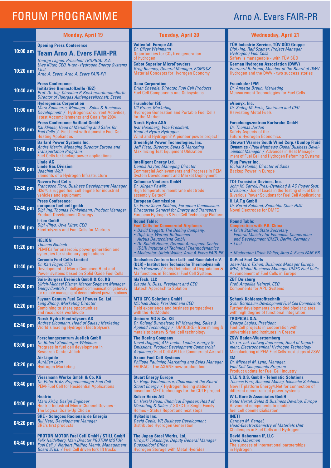## **FORUM PROGRAMME Arno A. Evers FAIR-PR Arno A. Evers FAIR-PR**

|            | <b>Monday, April 19</b>                                                                                                                                                                                   | <b>Tuesday, April 20</b>                                                                                                                                                                                               | <b>Wednesday, April 21</b>                                                                                                                                                                                      |
|------------|-----------------------------------------------------------------------------------------------------------------------------------------------------------------------------------------------------------|------------------------------------------------------------------------------------------------------------------------------------------------------------------------------------------------------------------------|-----------------------------------------------------------------------------------------------------------------------------------------------------------------------------------------------------------------|
|            | <b>Opening Press Conference:</b><br>10:00 am Team Arno A. Evers FAIR-PR                                                                                                                                   | <b>Vattenfall Europe AG</b><br>Dr. Oliver Weinmann<br>Opportunities for CO <sub>2</sub> free generation<br>of hydrogen                                                                                                 | <b>TÜV Industrie Service, TÜV SÜD Gruppe</b><br>Dipl.-Ing. Ralf Szamer, Project Manager<br>Hydrogen / Fuel Cells<br>Safety is manageable - with TUV SUD                                                         |
| $10:20$ am | George Lagios, President TROPICAL S.A.<br>Uwe Küter, CEO, h-tec - Hydrogen Energy Systems<br>t.b.d.<br>Arno A. Evers, Arno A. Evers FAIR-PR                                                               | <b>Cabot Superior MicroPowders</b><br>Greg Romney, General Manager, ECM&CS<br><b>Material Concepts for Hydrogen Economy</b>                                                                                            | <b>German Hydrogen Association (DWV)</b><br>Eberhard Behrend, Member of the Board of DWV<br>Hydrogen and the DWV - two success stories                                                                          |
| $10:40$ am | <b>Press Conference:</b><br>Inititative Brennstoffzelle (IBZ)<br>Prof. Dr.-Ing. Christian P. Beckervordersandforth<br>Director of Ruhrgas Aktiengesellschaft, Essen                                       | <b>Dana Corporation</b><br><b>Brian Cheadle, Director, Fuel Cell Products</b><br><b>Fuel Cell Components and Subsystems</b>                                                                                            | <b>Fraunhofer IPM</b><br>Dr. Annette Braun, Marketing<br><b>Measurement Technologies for Fuel Cells</b>                                                                                                         |
| $11:00$ am | <b>Hydrogenics Corporation</b><br>Mark Kammerer, Manager - Sales & Business<br><i>Development / Hydrogenics' current Activities,</i><br>latest Accomplishments and Goals for 2004                         | <b>Fraunhofer ISE</b><br><b>Ulf Groos, Marketing</b><br><b>Hydrogen Generation and Portable Fuel Cells</b><br>for the Market                                                                                           | eVionyx, Inc.<br>Dr. Sadeg M. Faris, Chairman and CEO<br><b>Harvesting Metal Fuels</b>                                                                                                                          |
| $11:20$ am | <b>Press Conference: Vaillant GmbH</b><br>Kai Klinder, Head of Marketing and Sales for<br>Fuel Cells / Field-test with domestic Fuel Cell<br><b>Heating Appliances</b>                                    | <b>Norsk Hydro ASA</b><br>Ivar Hexeberg, Vice President,<br><b>Head of Hydro Hydrogen</b><br>Wind and Hydrogen? A pioneer power project!                                                                               | <b>Forschungszentrum Karlsruhe GmbH</b><br>Dr. Thomas Jordan<br><b>Safety Aspects of the</b><br><b>Future Hydrogen Economics</b>                                                                                |
| $11:40$ am | <b>Ballard Power Systems Inc.</b><br>André Martin, Managing Director Europe and<br><b>Transportation Programs</b><br>Fuel Cells for backup power applications                                             | <b>Greenlight Power Technologies, Inc.</b><br>Jeff Plato, Director, Sales & Marketing<br>Maximizing Test Equipment Utilization                                                                                         | <b>Stewart Warner South Wind Corp./Dunlop Fluid</b><br><b>Dynamics</b> / Paul Matthews, Global Business Devel-<br>opment Manager / Advances in Heat Manage-<br>ment of Fuel Cell and Hydrogen Reforming Systems |
| 12:00 pm   | <b>Linde AG</b><br><b>Linde Gas Division</b><br>Joachim Wolf<br>Elements of a Hydrogen Infrastructure                                                                                                     | <b>Intelligent Energy Ltd.</b><br><b>Dennis Hayter, Managing Director</b><br><b>Commercial Achievements and Progress in PEM</b><br><b>System Development and Market Deployment</b>                                     | <b>Plug Power Inc.</b><br><b>Richard Romer, Director of Sales</b><br><b>Backup Power in Europe</b>                                                                                                              |
| 12:20 pm   | <b>Nuvera Fuel Cells</b><br>Francesco Fiore, Business Development Manager<br>H2e <sup>™</sup> : a rugged fuel cell engine for industrial<br>vehicles and equipment                                        | <b>Celanese Ventures GmbH</b><br>Dr. Jürgen Pawlik<br>High temperature membrane electrode<br>assembly Celtec <sup>®</sup>                                                                                              | <b>TDI-Transistor Devices, Inc.</b><br>John M. Carroll, Pres.-Dynaload & AC Power Syst.<br>Divisions / Use of Loads in the Testing of Fuel Cells<br>& various Power Solutions for Fuel Cell Applications        |
| 12:40 pm   | <b>Press Conference:</b><br>european fuel cell gmbh<br>Dipl. Ing. Thomas Winkelmann, Product Manager<br><b>Product Development Strategy</b>                                                               | <b>European Commission</b><br>Dr. Franz Xaver Söldner, European Commission,<br>Directorate General for Energy and Transport<br>European Hydrogen & Fuel Cell Technology Platform                                       | H.I.A.T.g GmbH<br>Dr. Bernd Rohland, Scientific Chair HIAT<br><b>Novel Electrodes for DMFC</b>                                                                                                                  |
| $01:00$ pm | h-tec GmbH<br>Dipl.-Phys. Uwe Küter, CEO<br><b>Electrolyzers and Fuel Cells for Markets</b>                                                                                                               | <b>Round Table:</b><br><b>Fuel Cells for Commercial Airplanes</b><br>• David Daggett, The Boeing Company,<br>• Dipl.-Ing. Werner Rothammer                                                                             | <b>Round Table:</b><br><b>Cooperation with P.R. China</b><br>• Erich Stather, State Secretary<br><b>Federal Ministry for Economic Cooperation</b>                                                               |
| $01:20$ pm | <b>HELION</b><br><b>Thomas Nietsch</b><br>PEMFCs for anaerobic power generation and<br>synergies for stationary applications                                                                              | <b>Airbus Deutschland GmbH</b><br>• Dr. Rudolf Henne, German Aerospace Center<br>(DLR) Institute of Technical Thermodynamics<br>• Moderator: Ulrich Walter, Arno A. Evers FAIR-PR                                      | and Development (BMZ), Berlin, Germany<br>$\bullet$ t.b.d.<br>• Moderator: Ulrich Walter, Arno A. Evers FAIR-PR                                                                                                 |
| $01:40$ pm | <b>Ceramic Fuel Cells Limited</b><br>Dr. Karl Foger, CTO<br>Development of Micro-Combined Heat and<br>Power systems based on Solid Oxide Fuel Cells                                                       | Deutsches Zentrum fuer Luft- und Raumfahrt e.V.<br>(DLR) - Institut fuer Technische Thermodynamik<br><b>Erich Guelzow / Early Detection of Degradation &amp;</b><br><b>Malfunctions in Technical Fuel Cell Systems</b> | <b>DuPont Fuel Cells</b><br>Jean-Marc Tixhon, Business Manager Europe,<br>MEA, Global Business Manager DMFC Fuel Cells<br><b>Advancement of Fuel Cells in Europe</b>                                            |
| $02:00$ pm | Saia-Burgess Dreieich GmbH & Co. KG<br>Ulrich-Michael Dismer, Market Segment Manager<br><b>Energy Controls / Intelligent communication gateway</b><br>for remote managing of decentralised power stations | <b>IdaTech, LLC</b><br>Claude H. Duss, President and CEO<br><b>Idatech Approach to Solution</b>                                                                                                                        | <b>ZBT Duisburg</b><br>Prof. Angelika Heinzel, CEO<br><b>Components for APU Systems</b>                                                                                                                         |
| $02:20$ pm | <b>Fuyuan Century Fuel Cell Power Co. Ltd.</b><br><b>Lang Zhong, Marketing Director</b><br>Combining to share opportunities<br>and resources worldwide                                                    | <b>MTU CFC Solutions GmbH</b><br><b>Michael Bode, President and CEO</b><br>Field experience and business perspectives<br>with the HotModule                                                                            | <b>Schunk Kohlenstofftechnik</b><br>Sven Bornbaum, Development Fuel Cell Components<br>Further developments on molded bipolar plates<br>with high degree of functional integration                              |
| $02:40$ pm | <b>Norsk Hydro Electrolysers AS</b><br>Andres Cloumann, Head of Sales / Marketing<br>World's leading Hydrogen Electrolysers                                                                               | <b>Umicore AG &amp; Co. KG</b><br>Dr. Roland Burmeister, VP Marketing, Sales &<br>Applied Technology / UMICORE - from mining &<br>metals to battery & fuel cell technology                                             | <b>TROPICAL S.A.</b><br>George Lagios, President<br>Fuel Cell projects in cooperation with<br>universities and institutes in Greece                                                                             |
| $03:00$ pm | <b>Forschungszentrum Juelich GmbH</b><br>Dr. Robert Steinberger-Wilckens<br>Progress in fuel cell development in<br>Research Center Jülich                                                                | <b>The Boeing Company</b><br>David Daggett, ATF Techn. Leader, Energy &<br><b>Emissions, Product Development Commercial</b><br>Airplanes / Fuel Cell APU for Commercial Aircraft                                       | <b>ZSW Baden-Wuerttemberg</b><br>Dr. rer. nat. Ludwig Joerissen, Head of Depart-<br>ment, Electrochemical Hydrogen Technology<br>Manufactoring of PEM Fuel Cells-next steps at ZSW                              |
| 03:20 pm   | <b>Air Liquide</b><br>Aurélien Leon<br><b>Hydrogen Marketing</b>                                                                                                                                          | <b>Axane Fuel Cell Systems</b><br><b>Philippe Paulmier, Marketing and Sales Manager</b><br><b>EVOPAC</b> - The AXANE new product line                                                                                  | 3M<br>Dr. Michael M. Lynn, Manager,<br><b>Fuel Cell Components Program</b><br><b>Product update for Fuel Cell Industry</b>                                                                                      |
| $03:40$ pm | <b>Viessmann Werke GmbH &amp; Co. KG</b><br>Dr. Peter Britz, Projectmanager Fuel Cell<br><b>PEM-Fuel Cell for Residential Applications</b>                                                                | <b>Stuart Energy Europe</b><br>Dr. Hugo Vandenborre, Chairman of the Board<br>Stuart Energy / Hydrogen fueling stations<br>based on IMET technology for the CUTE project                                               | <b>I.T.E.N.O.S. GmbH - Telematic Solutions</b><br><b>Thomas Prinz, Account Manag. Telematic Solutions</b><br>New IT platform Energy4. Net for connection of<br>different decentralized power systems            |
| 04:00 pm   | <b>Heatric</b><br>Mark Kirby, Design Engineer<br><b>Heatric Industrial Micro-Channel Devices -</b><br>The Logical Scale-Up Choice                                                                         | <b>Sulzer Hexis AG</b><br>Dr. Harald Raak, Chemical Engineer, Head of<br>Marketing & Sales / SOFC for Single Family<br>Homes - Status Report and next steps                                                            | <b>W.L. Gore &amp; Associates GmbH</b><br>Peter Hertel, Sales & Business Develop. Europe<br>Advanced components to enable<br>fuel cell commerzialisation                                                        |
| 04:20 pm   | <b>SRE - Soluções Racionais de Energia</b><br>Rui Neto, Development Manager<br><b>SRE's first products</b>                                                                                                | <b>HyRadix Inc.</b><br>David Cepla, VP, Business Development<br>Distributed Hydrogen Generation                                                                                                                        | <b>INETI</b><br>Carmen M. Rangel,<br><b>Head-Electrochemistry of Materials Unit</b><br><b>Challenges in Fuel Cells and Hydrogen</b>                                                                             |
| 04:40 pm   | <b>PROTON MOTOR Fuel Cell GmbH / STILL GmbH</b><br>Felix Heidelberg, Man. Director PROTON MOTOR<br>Fuel Cell / Norbert Pfeiffer, Memb. Management<br>Board STILL / Fuel Cell driven fork lift trucks      | The Japan Steel Works, Ltd.<br>Hiroyuki Tokushige, Deputy General Manager<br><b>Duesseldorf Office</b><br><b>Hydrogen Storage with Metal Hydrides</b>                                                                  | <b>David Haberman IF, LLC</b><br>David Haberman<br>The success of international partnerships<br>in Hydrogen                                                                                                     |
|            |                                                                                                                                                                                                           |                                                                                                                                                                                                                        |                                                                                                                                                                                                                 |